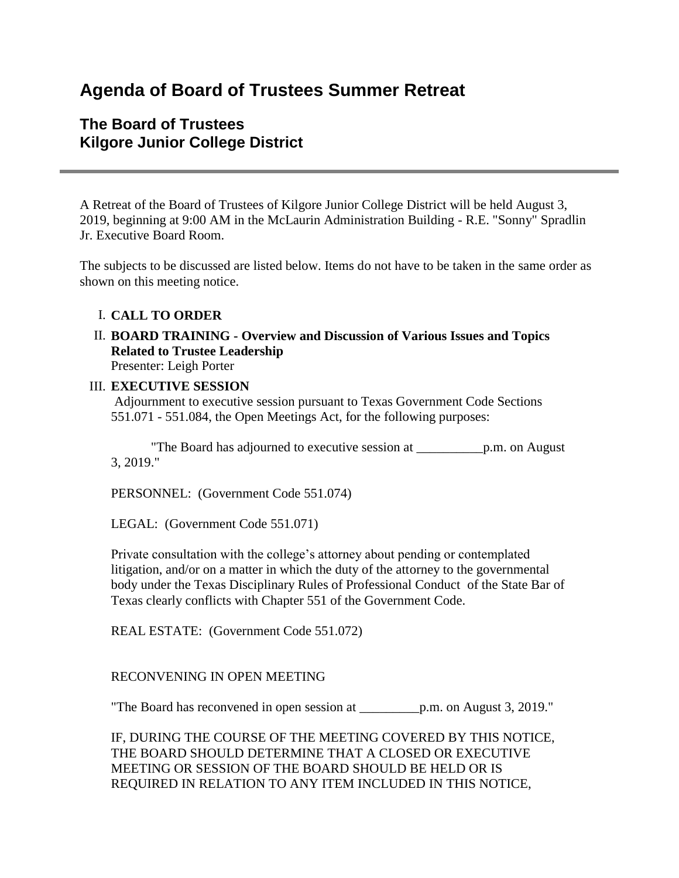# **Agenda of Board of Trustees Summer Retreat**

# **The Board of Trustees Kilgore Junior College District**

A Retreat of the Board of Trustees of Kilgore Junior College District will be held August 3, 2019, beginning at 9:00 AM in the McLaurin Administration Building - R.E. "Sonny" Spradlin Jr. Executive Board Room.

The subjects to be discussed are listed below. Items do not have to be taken in the same order as shown on this meeting notice.

### I. **CALL TO ORDER**

II. **BOARD TRAINING - Overview and Discussion of Various Issues and Topics Related to Trustee Leadership** Presenter: Leigh Porter

## III. **EXECUTIVE SESSION**

Adjournment to executive session pursuant to Texas Government Code Sections 551.071 - 551.084, the Open Meetings Act, for the following purposes:

 "The Board has adjourned to executive session at \_\_\_\_\_\_\_\_\_\_p.m. on August 3, 2019."

PERSONNEL: (Government Code 551.074)

LEGAL: (Government Code 551.071)

Private consultation with the college's attorney about pending or contemplated litigation, and/or on a matter in which the duty of the attorney to the governmental body under the Texas Disciplinary Rules of Professional Conduct of the State Bar of Texas clearly conflicts with Chapter 551 of the Government Code.

REAL ESTATE: (Government Code 551.072)

### RECONVENING IN OPEN MEETING

"The Board has reconvened in open session at \_\_\_\_\_\_\_\_\_p.m. on August 3, 2019."

IF, DURING THE COURSE OF THE MEETING COVERED BY THIS NOTICE, THE BOARD SHOULD DETERMINE THAT A CLOSED OR EXECUTIVE MEETING OR SESSION OF THE BOARD SHOULD BE HELD OR IS REQUIRED IN RELATION TO ANY ITEM INCLUDED IN THIS NOTICE,